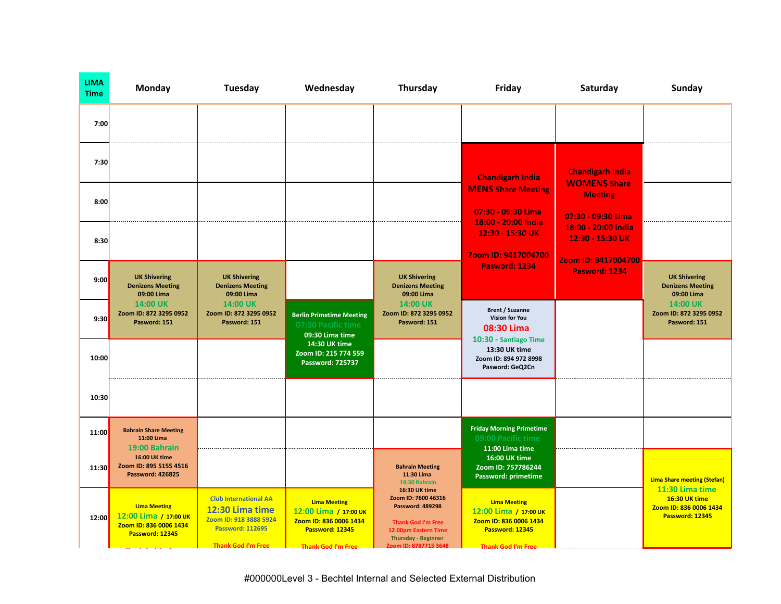| <b>LIMA</b><br><b>Time</b> | <b>Monday</b>                                                                             | Tuesday                                                                                                                           | Wednesday                                                                                                              | Thursday                                                                                                                                                                    | Friday                                                                                                                 | Saturday                                                       | <b>Sunday</b>                                                                 |
|----------------------------|-------------------------------------------------------------------------------------------|-----------------------------------------------------------------------------------------------------------------------------------|------------------------------------------------------------------------------------------------------------------------|-----------------------------------------------------------------------------------------------------------------------------------------------------------------------------|------------------------------------------------------------------------------------------------------------------------|----------------------------------------------------------------|-------------------------------------------------------------------------------|
| 7:00                       |                                                                                           |                                                                                                                                   |                                                                                                                        |                                                                                                                                                                             |                                                                                                                        |                                                                |                                                                               |
| 7:30                       |                                                                                           |                                                                                                                                   |                                                                                                                        |                                                                                                                                                                             | <b>Chandigarh India</b>                                                                                                | <b>Chandigarh India</b><br><b>WOMENS Share</b>                 |                                                                               |
| 8:00                       |                                                                                           |                                                                                                                                   |                                                                                                                        |                                                                                                                                                                             | <b>MENS Share Meeting</b><br>07:30 - 09:30 Lima<br>18:00 - 20:00 India                                                 | <b>Meeting</b><br>07:30 - 09:30 Lima                           |                                                                               |
| 8:30                       |                                                                                           |                                                                                                                                   |                                                                                                                        |                                                                                                                                                                             | 12:30 - 15:30 UK<br>Zoom ID: 9417004700                                                                                | 18:00 - 20:00 India<br>12:30 - 15:30 UK<br>Zoom ID: 9417004700 |                                                                               |
| 9:00                       | <b>UK Shivering</b><br><b>Denizens Meeting</b><br>09:00 Lima                              | <b>UK Shivering</b><br><b>Denizens Meeting</b><br>09:00 Lima                                                                      |                                                                                                                        | <b>UK Shivering</b><br><b>Denizens Meeting</b><br>09:00 Lima                                                                                                                | <b>Pasword: 1234</b>                                                                                                   | <b>Pasword: 1234</b>                                           | <b>UK Shivering</b><br><b>Denizens Meeting</b><br>09:00 Lima                  |
| 9:30                       | 14:00 UK<br>Zoom ID: 872 3295 0952<br>Pasword: 151                                        | 14:00 UK<br>Zoom ID: 872 3295 0952<br>Pasword: 151                                                                                | <b>Berlin Primetime Meeting</b><br>07:30 Pacific time<br>09:30 Lima time                                               | <b>14:00 UK</b><br>Zoom ID: 872 3295 0952<br>Pasword: 151                                                                                                                   | <b>Brent / Suzanne</b><br><b>Vision for You</b><br>08:30 Lima                                                          |                                                                | 14:00 UK<br>Zoom ID: 872 3295 0952<br>Pasword: 151                            |
| 10:00                      |                                                                                           |                                                                                                                                   | 14:30 UK time<br>Zoom ID: 215 774 559<br>Password: 725737                                                              |                                                                                                                                                                             | 10:30 - Santiago Time<br>13:30 UK time<br>Zoom ID: 894 972 8998<br>Pasword: GeQ2Cn                                     |                                                                |                                                                               |
| 10:30                      |                                                                                           |                                                                                                                                   |                                                                                                                        |                                                                                                                                                                             |                                                                                                                        |                                                                |                                                                               |
| 11:00                      | <b>Bahrain Share Meeting</b><br>11:00 Lima<br>19:00 Bahrain                               |                                                                                                                                   |                                                                                                                        |                                                                                                                                                                             | <b>Friday Morning Primetime</b><br>09:00 Pacific time<br>11:00 Lima time                                               |                                                                |                                                                               |
| 11:30                      | 16:00 UK time<br>Zoom ID: 895 5155 4516<br><b>Password: 426825</b>                        |                                                                                                                                   |                                                                                                                        | <b>Bahrain Meeting</b><br>11:30 Lima<br>19:30 Bahrain                                                                                                                       | 16:00 UK time<br>Zoom ID: 757786244<br>Password: primetime                                                             |                                                                | <b>Lima Share meeting (Stefan)</b>                                            |
| 12:00                      | <b>Lima Meeting</b><br>12:00 Lima / 17:00 UK<br>Zoom ID: 836 0006 1434<br>Password: 12345 | <b>Club International AA</b><br>12:30 Lima time<br>Zoom ID: 918 3888 5924<br><b>Password: 112695</b><br><b>Thank God I'm Free</b> | <b>Lima Meeting</b><br>12:00 Lima / 17:00 UK<br>Zoom ID: 836 0006 1434<br>Password: 12345<br><b>Thank God I'm Free</b> | 16:30 UK time<br>Zoom ID: 7600 46316<br><b>Password: 489298</b><br><b>Thank God I'm Free</b><br>12:00pm Eastern Time<br><b>Thursday - Beginner</b><br>Zoom ID: 8787715 3648 | <b>Lima Meeting</b><br>12:00 Lima / 17:00 UK<br>Zoom ID: 836 0006 1434<br>Password: 12345<br><b>Thank God I'm Free</b> |                                                                | 11:30 Lima time<br>16:30 UK time<br>Zoom ID: 836 0006 1434<br>Password: 12345 |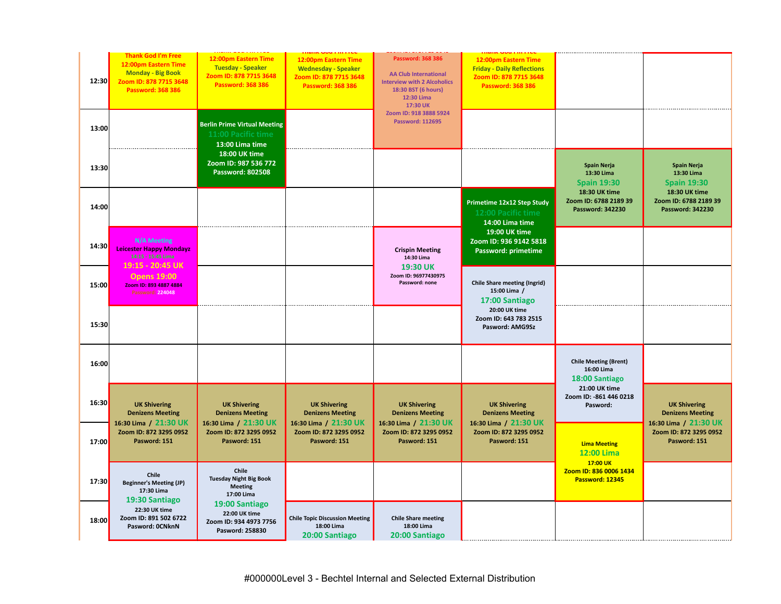| 12:30 | <b>Thank God I'm Free</b><br>12:00pm Eastern Time<br><b>Monday - Big Book</b><br>Zoom ID: 878 7715 3648<br><b>Password: 368 386</b> | 12:00pm Eastern Time<br><b>Tuesday - Speaker</b><br>Zoom ID: 878 7715 3648<br><b>Password: 368 386</b> | 12:00pm Eastern Time<br><b>Wednesday - Speaker</b><br>Zoom ID: 878 7715 3648<br><b>Password: 368 386</b> | Password: 368 386<br><b>AA Club International</b><br><b>Interview with 2 Alcoholics</b><br>18:30 BST (6 hours)<br>12:30 Lima<br>17:30 UK<br>Zoom ID: 918 3888 5924 | 12:00pm Eastern Time<br><b>Friday - Daily Reflections</b><br>Zoom ID: 878 7715 3648<br><b>Password: 368 386</b> |                                                                   |                                                                         |
|-------|-------------------------------------------------------------------------------------------------------------------------------------|--------------------------------------------------------------------------------------------------------|----------------------------------------------------------------------------------------------------------|--------------------------------------------------------------------------------------------------------------------------------------------------------------------|-----------------------------------------------------------------------------------------------------------------|-------------------------------------------------------------------|-------------------------------------------------------------------------|
| 13:00 |                                                                                                                                     | <b>Berlin Prime Virtual Meeting</b><br>11:00 Pacific time<br>13:00 Lima time                           |                                                                                                          | <b>Password: 112695</b>                                                                                                                                            |                                                                                                                 |                                                                   |                                                                         |
| 13:30 |                                                                                                                                     | 18:00 UK time<br>Zoom ID: 987 536 772<br>Password: 802508                                              |                                                                                                          |                                                                                                                                                                    |                                                                                                                 | <b>Spain Nerja</b><br>13:30 Lima<br><b>Spain 19:30</b>            | <b>Spain Nerja</b><br>13:30 Lima<br><b>Spain 19:30</b>                  |
| 14:00 |                                                                                                                                     |                                                                                                        |                                                                                                          |                                                                                                                                                                    | Primetime 12x12 Step Study<br>12:00 Pacific time<br>14:00 Lima time                                             | 18:30 UK time<br>Zoom ID: 6788 2189 39<br><b>Password: 342230</b> | 18:30 UK time<br>Zoom ID: 6788 2189 39<br><b>Password: 342230</b>       |
| 14:30 | <b>N/A Meeting</b><br><b>Leicester Happy Mondayz</b><br>14:15 - 15:45 Lima<br>19:15 - 20:45 UK                                      |                                                                                                        |                                                                                                          | <b>Crispin Meeting</b><br>14:30 Lima<br>19:30 UK                                                                                                                   | 19:00 UK time<br>Zoom ID: 936 9142 5818<br>Password: primetime                                                  |                                                                   |                                                                         |
| 15:00 | <b>Opens 19:00</b><br>Zoom ID: 893 4887 4884<br><b>Password: 224048</b>                                                             |                                                                                                        |                                                                                                          | Zoom ID: 96977430975<br>Password: none                                                                                                                             | <b>Chile Share meeting (Ingrid)</b><br>15:00 Lima /<br>17:00 Santiago                                           |                                                                   |                                                                         |
| 15:30 |                                                                                                                                     |                                                                                                        |                                                                                                          |                                                                                                                                                                    | 20:00 UK time<br>Zoom ID: 643 783 2515<br>Pasword: AMG9Sz                                                       |                                                                   |                                                                         |
| 16:00 |                                                                                                                                     |                                                                                                        |                                                                                                          |                                                                                                                                                                    |                                                                                                                 | <b>Chile Meeting (Brent)</b><br>16:00 Lima<br>18:00 Santiago      |                                                                         |
| 16:30 | <b>UK Shivering</b><br><b>Denizens Meeting</b><br>16:30 Lima / 21:30 UK                                                             | <b>UK Shivering</b><br><b>Denizens Meeting</b><br>16:30 Lima / 21:30 UK                                | <b>UK Shivering</b><br><b>Denizens Meeting</b><br>16:30 Lima / 21:30 UK                                  | <b>UK Shivering</b><br><b>Denizens Meeting</b><br>16:30 Lima / 21:30 UK                                                                                            | <b>UK Shivering</b><br><b>Denizens Meeting</b><br>16:30 Lima / 21:30 UK                                         | 21:00 UK time<br>Zoom ID: - 861 446 0218<br>Pasword:              | <b>UK Shivering</b><br><b>Denizens Meeting</b><br>16:30 Lima / 21:30 UK |
| 17:00 | Zoom ID: 872 3295 0952<br>Pasword: 151                                                                                              | Zoom ID: 872 3295 0952<br>Pasword: 151                                                                 | Zoom ID: 872 3295 0952<br>Pasword: 151                                                                   | Zoom ID: 872 3295 0952<br>Pasword: 151                                                                                                                             | Zoom ID: 872 3295 0952<br>Pasword: 151                                                                          | <b>Lima Meeting</b><br><b>12:00 Lima</b>                          | Zoom ID: 872 3295 0952<br>Pasword: 151                                  |
| 17:30 | Chile<br><b>Beginner's Meeting (JP)</b><br>17:30 Lima<br>19:30 Santiago                                                             | Chile<br><b>Tuesday Night Big Book</b><br><b>Meeting</b><br>17:00 Lima                                 |                                                                                                          |                                                                                                                                                                    |                                                                                                                 | 17:00 UK<br>Zoom ID: 836 0006 1434<br>Password: 12345             |                                                                         |
| 18:00 | 22:30 UK time<br>Zoom ID: 891 502 6722<br>Pasword: OCNknN                                                                           | 19:00 Santiago<br>22:00 UK time<br>Zoom ID: 934 4973 7756<br>Pasword: 258830                           | <b>Chile Topic Discussion Meeting</b><br>18:00 Lima<br>20:00 Santiago                                    | <b>Chile Share meeting</b><br>18:00 Lima<br>20:00 Santiago                                                                                                         |                                                                                                                 |                                                                   |                                                                         |